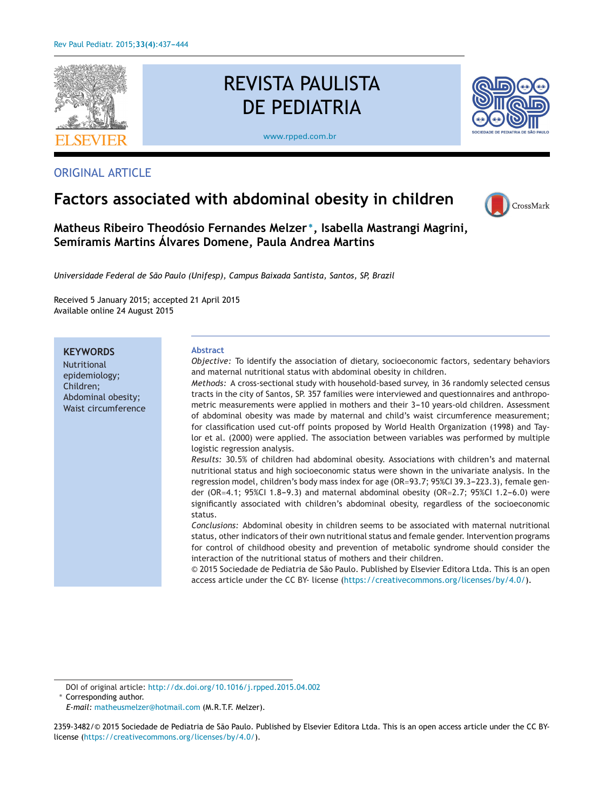

ORIGINAL ARTICLE

# REVISTA PAULISTA DE PEDIATRIA

[www.rpped.com.br](http://www.rpped.com.br)



## **Factors associated with abdominal obesity in children**



**Matheus Ribeiro Theodósio Fernandes Melzer <sup>∗</sup>, Isabella Mastrangi Magrini, Semíramis Martins Álvares Domene, Paula Andrea Martins**

*Universidade Federal de São Paulo (Unifesp), Campus Baixada Santista, Santos, SP, Brazil*

Received 5 January 2015; accepted 21 April 2015 Available online 24 August 2015

**KEYWORDS** Nutritional epidemiology; Children; Abdominal obesity; Waist circumference **Abstract** *Objective:* To identify the association of dietary, socioeconomic factors, sedentary behaviors and maternal nutritional status with abdominal obesity in children. *Methods:* A cross-sectional study with household-based survey, in 36 randomly selected census tracts in the city of Santos, SP. 357 families were interviewed and questionnaires and anthropometric measurements were applied in mothers and their 3-10 years-old children. Assessment of abdominal obesity was made by maternal and child's waist circumference measurement; for classification used cut-off points proposed by World Health Organization (1998) and Taylor et al. (2000) were applied. The association between variables was performed by multiple logistic regression analysis. *Results:* 30.5% of children had abdominal obesity. Associations with children's and maternal nutritional status and high socioeconomic status were shown in the univariate analysis. In the regression model, children's body mass index for age (OR=93.7; 95%CI 39.3-223.3), female gender (OR=4.1; 95%CI 1.8-9.3) and maternal abdominal obesity (OR=2.7; 95%CI 1.2-6.0) were significantly associated with children's abdominal obesity, regardless of the socioeconomic status. *Conclusions:* Abdominal obesity in children seems to be associated with maternal nutritional status, other indicators of their own nutritional status and female gender. Intervention programs for control of childhood obesity and prevention of metabolic syndrome should consider the interaction of the nutritional status of mothers and their children. © 2015 Sociedade de Pediatria de São Paulo. Published by Elsevier Editora Ltda. This is an open access article under the CC BY- license (<https://creativecommons.org/licenses/by/4.0/>).

DOI of original article: <http://dx.doi.org/10.1016/j.rpped.2015.04.002>

∗ Corresponding author.

*E-mail:* [matheusmelzer@hotmail.com](mailto:matheusmelzer@hotmail.com) (M.R.T.F. Melzer).

<sup>2359-3482/© 2015</sup> Sociedade de Pediatria de São Paulo. Published by Elsevier Editora Ltda. This is an open access article under the CC BYlicense ([https://creativecommons.org/licenses/by/4.0/\)](https://creativecommons.org/licenses/by/4.0/).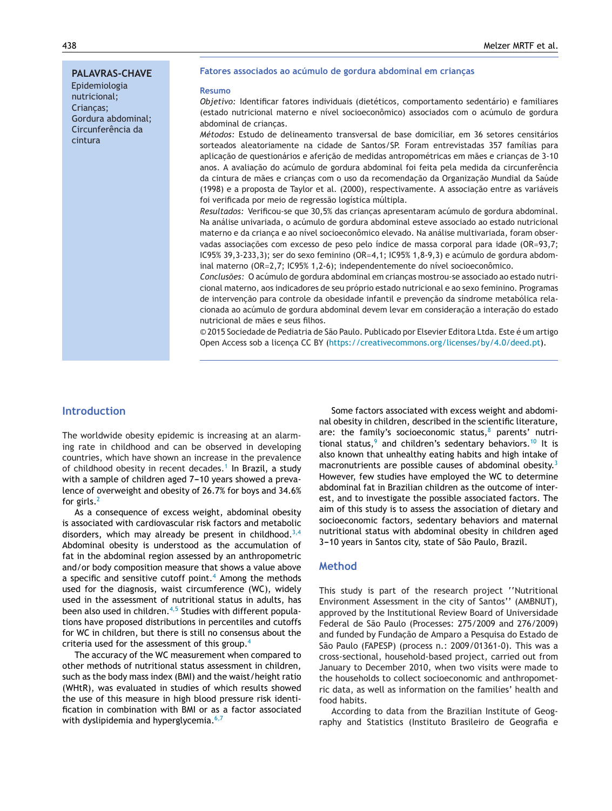#### **PALAVRAS-CHAVE**

Epidemiologia nutricional; Crianças; Gordura abdominal; Circunferência da cintura

#### **Fatores associados ao acúmulo de gordura abdominal em crianc¸as**

#### **Resumo**

*Objetivo:* Identificar fatores individuais (dietéticos, comportamento sedentário) e familiares (estado nutricional materno e nível socioeconômico) associados com o acúmulo de gordura abdominal de crianças.

*Métodos:* Estudo de delineamento transversal de base domiciliar, em 36 setores censitários sorteados aleatoriamente na cidade de Santos/SP. Foram entrevistadas 357 famílias para aplicacão de questionários e afericão de medidas antropométricas em mães e criancas de 3-10 anos. A avaliacão do acúmulo de gordura abdominal foi feita pela medida da circunferência da cintura de mães e crianças com o uso da recomendação da Organização Mundial da Saúde (1998) e a proposta de Taylor et al. (2000), respectivamente. A associação entre as variáveis foi verificada por meio de regressão logística múltipla.

Resultados: Verificou-se que 30,5% das crianças apresentaram acúmulo de gordura abdominal. Na análise univariada, o acúmulo de gordura abdominal esteve associado ao estado nutricional materno e da criança e ao nível socioeconômico elevado. Na análise multivariada, foram observadas associações com excesso de peso pelo índice de massa corporal para idade (OR=93,7; IC95% 39,3-233,3); ser do sexo feminino (OR=4,1; IC95% 1,8-9,3) e acúmulo de gordura abdominal materno (OR=2,7; IC95% 1,2-6); independentemente do nível socioeconômico.

Conclusões: O acúmulo de gordura abdominal em crianças mostrou-se associado ao estado nutricional materno, aos indicadores de seu próprio estado nutricional e ao sexo feminino. Programas de intervenção para controle da obesidade infantil e prevenção da síndrome metabólica relacionada ao acúmulo de gordura abdominal devem levar em consideração a interação do estado nutricional de mães e seus filhos.

© 2015 Sociedade de Pediatria de São Paulo. Publicado por Elsevier Editora Ltda. Este é um artigo Open Access sob a licença CC BY ([https://creativecommons.org/licenses/by/4.0/deed.pt](https://creativecommons.org/licenses/by/4.0/)).

## **Introduction**

The worldwide obesity epidemic is increasing at an alarming rate in childhood and can be observed in developing countries, which have shown an increase in the prevalence of childhood obesity in recent decades.<sup>[1](#page-6-0)</sup> In Brazil, a study with a sample of children aged 7-10 years showed a prevalence of overweight and obesity of 26.7% for boys and 34.6% for girls. $<sup>2</sup>$  $<sup>2</sup>$  $<sup>2</sup>$ </sup>

As a consequence of excess weight, abdominal obesity is associated with cardiovascular risk factors and metabolic disorders, which may already be present in childhood.<sup>[3,4](#page-6-0)</sup> Abdominal obesity is understood as the accumulation of fat in the abdominal region assessed by an anthropometric and/or body composition measure that shows a value above a specific and sensitive cutoff point. $4$  Among the methods used for the diagnosis, waist circumference (WC), widely used in the assessment of nutritional status in adults, has been also used in children.<sup>[4,5](#page-6-0)</sup> Studies with different populations have proposed distributions in percentiles and cutoffs for WC in children, but there is still no consensus about the criteria used for the assessment of this group.[4](#page-6-0)

The accuracy of the WC measurement when compared to other methods of nutritional status assessment in children, such as the body mass index (BMI) and the waist/height ratio (WHtR), was evaluated in studies of which results showed the use of this measure in high blood pressure risk identification in combination with BMI or as a factor associated with dyslipidemia and hyperglycemia. $6,7$ 

Some factors associated with excess weight and abdominal obesity in children, described in the scientific literature, are: the family's socioeconomic status, $8$  parents' nutritional status, $9$  and children's sedentary behaviors.<sup>[10](#page-6-0)</sup> It is also known that unhealthy eating habits and high intake of macronutrients are possible causes of abdominal obesity.<sup>[3](#page-6-0)</sup> However, few studies have employed the WC to determine abdominal fat in Brazilian children as the outcome of interest, and to investigate the possible associated factors. The aim of this study is to assess the association of dietary and socioeconomic factors, sedentary behaviors and maternal nutritional status with abdominal obesity in children aged 3-10 years in Santos city, state of São Paulo, Brazil.

#### **Method**

This study is part of the research project ''Nutritional Environment Assessment in the city of Santos'' (AMBNUT), approved by the Institutional Review Board of Universidade Federal de São Paulo (Processes: 275/2009 and 276/2009) and funded by Fundação de Amparo a Pesquisa do Estado de São Paulo (FAPESP) (process n.: 2009/01361-0). This was a cross-sectional, household-based project, carried out from January to December 2010, when two visits were made to the households to collect socioeconomic and anthropometric data, as well as information on the families' health and food habits.

According to data from the Brazilian Institute of Geography and Statistics (Instituto Brasileiro de Geografia e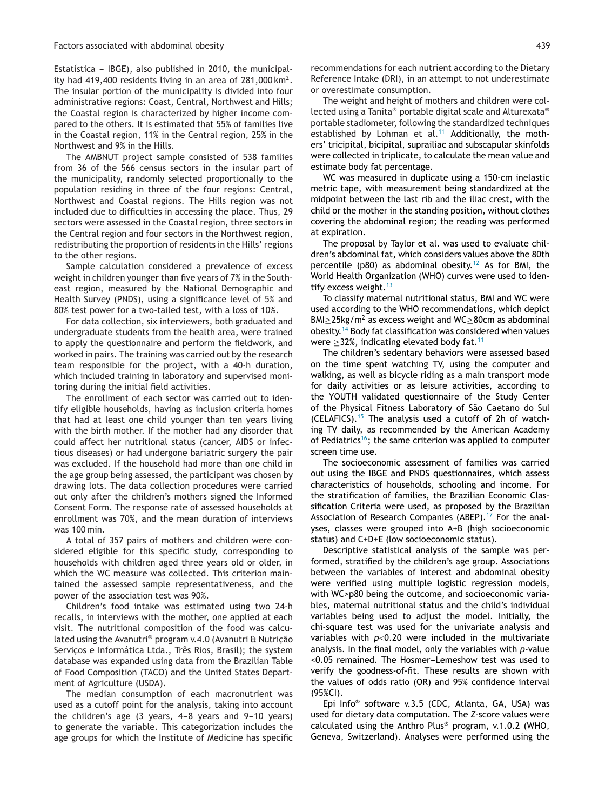Estatística - IBGE), also published in 2010, the municipality had 419,400 residents living in an area of  $281,000 \mathrm{km^2}$ . The insular portion of the municipality is divided into four administrative regions: Coast, Central, Northwest and Hills; the Coastal region is characterized by higher income compared to the others. It is estimated that 55% of families live in the Coastal region, 11% in the Central region, 25% in the Northwest and 9% in the Hills.

The AMBNUT project sample consisted of 538 families from 36 of the 566 census sectors in the insular part of the municipality, randomly selected proportionally to the population residing in three of the four regions: Central, Northwest and Coastal regions. The Hills region was not included due to difficulties in accessing the place. Thus, 29 sectors were assessed in the Coastal region, three sectors in the Central region and four sectors in the Northwest region, redistributing the proportion of residents in the Hills' regions to the other regions.

Sample calculation considered a prevalence of excess weight in children younger than five years of 7% in the Southeast region, measured by the National Demographic and Health Survey (PNDS), using a significance level of 5% and 80% test power for a two-tailed test, with a loss of 10%.

For data collection, six interviewers, both graduated and undergraduate students from the health area, were trained to apply the questionnaire and perform the fieldwork, and worked in pairs. The training was carried out by the research team responsible for the project, with a 40-h duration, which included training in laboratory and supervised monitoring during the initial field activities.

The enrollment of each sector was carried out to identify eligible households, having as inclusion criteria homes that had at least one child younger than ten years living with the birth mother. If the mother had any disorder that could affect her nutritional status (cancer, AIDS or infectious diseases) or had undergone bariatric surgery the pair was excluded. If the household had more than one child in the age group being assessed, the participant was chosen by drawing lots. The data collection procedures were carried out only after the children's mothers signed the Informed Consent Form. The response rate of assessed households at enrollment was 70%, and the mean duration of interviews was 100 min.

A total of 357 pairs of mothers and children were considered eligible for this specific study, corresponding to households with children aged three years old or older, in which the WC measure was collected. This criterion maintained the assessed sample representativeness, and the power of the association test was 90%.

Children's food intake was estimated using two 24-h recalls, in interviews with the mother, one applied at each visit. The nutritional composition of the food was calculated using the Avanutri® program v.4.0 (Avanutri & Nutrição Serviços e Informática Ltda., Três Rios, Brasil); the system database was expanded using data from the Brazilian Table of Food Composition (TACO) and the United States Department of Agriculture (USDA).

The median consumption of each macronutrient was used as a cutoff point for the analysis, taking into account the children's age  $(3 \text{ years}, 4-8 \text{ years}$  and  $9-10 \text{ years})$ to generate the variable. This categorization includes the age groups for which the Institute of Medicine has specific recommendations for each nutrient according to the Dietary Reference Intake (DRI), in an attempt to not underestimate or overestimate consumption.

The weight and height of mothers and children were collected using a Tanita® portable digital scale and Alturexata® portable stadiometer, following the standardized techniques established by Lohman et al.<sup>[11](#page-6-0)</sup> Additionally, the mothers' tricipital, bicipital, suprailiac and subscapular skinfolds were collected in triplicate, to calculate the mean value and estimate body fat percentage.

WC was measured in duplicate using a 150-cm inelastic metric tape, with measurement being standardized at the midpoint between the last rib and the iliac crest, with the child or the mother in the standing position, without clothes covering the abdominal region; the reading was performed at expiration.

The proposal by Taylor et al. was used to evaluate children's abdominal fat, which considers values above the 80th percentile (p80) as abdominal obesity.<sup>[12](#page-6-0)</sup> As for BMI, the World Health Organization (WHO) curves were used to iden-tify excess weight.<sup>[13](#page-6-0)</sup>

To classify maternal nutritional status, BMI and WC were used according to the WHO recommendations, which depict BMI $>$ 25kg/m<sup>2</sup> as excess weight and WC $>$ 80cm as abdominal obesity.[14](#page-6-0) Body fat classification was considered when values were  $>$ 32%, indicating elevated body fat.<sup>[11](#page-6-0)</sup>

The children's sedentary behaviors were assessed based on the time spent watching TV, using the computer and walking, as well as bicycle riding as a main transport mode for daily activities or as leisure activities, according to the YOUTH validated questionnaire of the Study Center of the Physical Fitness Laboratory of São Caetano do Sul (CELAFICS).<sup>[15](#page-6-0)</sup> The analysis used a cutoff of 2h of watching TV daily, as recommended by the American Academy of Pediatrics<sup>16</sup>; the same criterion was applied to computer screen time use.

The socioeconomic assessment of families was carried out using the IBGE and PNDS questionnaires, which assess characteristics of households, schooling and income. For the stratification of families, the Brazilian Economic Classification Criteria were used, as proposed by the Brazilian Association of Research Companies (ABEP).<sup>[17](#page-6-0)</sup> For the analyses, classes were grouped into A+B (high socioeconomic status) and C+D+E (low socioeconomic status).

Descriptive statistical analysis of the sample was performed, stratified by the children's age group. Associations between the variables of interest and abdominal obesity were verified using multiple logistic regression models, with WC>p80 being the outcome, and socioeconomic variables, maternal nutritional status and the child's individual variables being used to adjust the model. Initially, the chi-square test was used for the univariate analysis and variables with *p*<0.20 were included in the multivariate analysis. In the final model, only the variables with *p*-value <0.05 remained. The Hosmer-Lemeshow test was used to verify the goodness-of-fit. These results are shown with the values of odds ratio (OR) and 95% confidence interval (95%CI).

Epi Info® software v.3.5 (CDC, Atlanta, GA, USA) was used for dietary data computation. The *Z*-score values were calculated using the Anthro Plus® program, v.1.0.2 (WHO, Geneva, Switzerland). Analyses were performed using the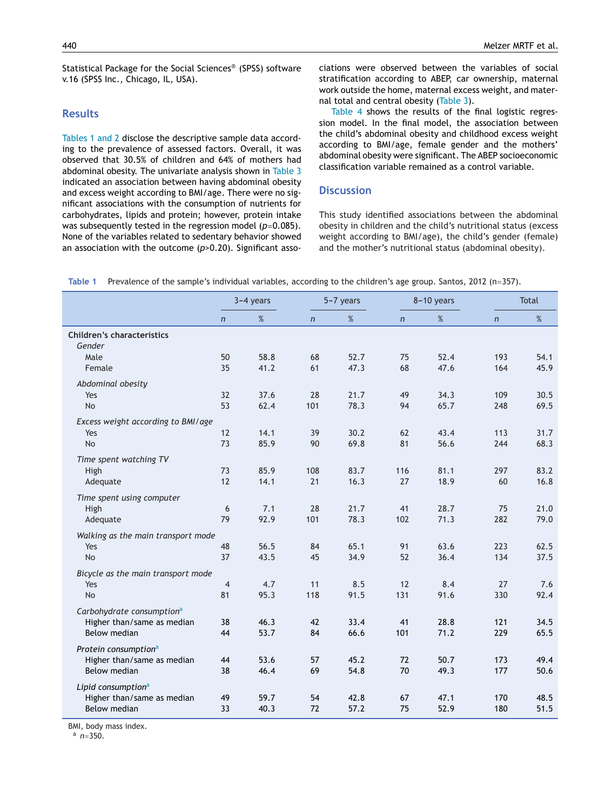Statistical Package for the Social Sciences® (SPSS) software v.16 (SPSS Inc., Chicago, IL, USA).

#### **Results**

Tables 1 and 2 disclose the descriptive sample data according to the prevalence of assessed factors. Overall, it was observed that 30.5% of children and 64% of mothers had abdominal obesity. The univariate analysis shown in [Table](#page-5-0) 3 indicated an association between having abdominal obesity and excess weight according to BMI/age. There were no significant associations with the consumption of nutrients for carbohydrates, lipids and protein; however, protein intake was subsequently tested in the regression model ( $p=0.085$ ). None of the variables related to sedentary behavior showed an association with the outcome (*p*>0.20). Significant asso-

ciations were observed between the variables of social stratification according to ABEP, car ownership, maternal work outside the home, maternal excess weight, and maternal total and central obesity [\(Table](#page-5-0) 3).

[Table](#page-5-0) 4 shows the results of the final logistic regression model. In the final model, the association between the child's abdominal obesity and childhood excess weight according to BMI/age, female gender and the mothers' abdominal obesity were significant. The ABEP socioeconomic classification variable remained as a control variable.

#### **Discussion**

This study identified associations between the abdominal obesity in children and the child's nutritional status (excess weight according to BMI/age), the child's gender (female) and the mother's nutritional status (abdominal obesity).

|                                             | $3-4$ years    |      |            | 5-7 years |                | 8-10 years |              | <b>Total</b> |  |
|---------------------------------------------|----------------|------|------------|-----------|----------------|------------|--------------|--------------|--|
|                                             | $\overline{n}$ | $\%$ | $\sqrt{n}$ | $\%$      | $\overline{n}$ | %          | $\mathsf{n}$ | %            |  |
| <b>Children's characteristics</b><br>Gender |                |      |            |           |                |            |              |              |  |
| Male                                        | 50             | 58.8 | 68         | 52.7      | 75             | 52.4       | 193          | 54.1         |  |
| Female                                      | 35             | 41.2 | 61         | 47.3      | 68             | 47.6       | 164          | 45.9         |  |
| Abdominal obesity                           |                |      |            |           |                |            |              |              |  |
| Yes                                         | 32             | 37.6 | 28         | 21.7      | 49             | 34.3       | 109          | 30.5         |  |
| <b>No</b>                                   | 53             | 62.4 | 101        | 78.3      | 94             | 65.7       | 248          | 69.5         |  |
| Excess weight according to BMI/age          |                |      |            |           |                |            |              |              |  |
| Yes                                         | 12             | 14.1 | 39         | 30.2      | 62             | 43.4       | 113          | 31.7         |  |
| <b>No</b>                                   | 73             | 85.9 | 90         | 69.8      | 81             | 56.6       | 244          | 68.3         |  |
| Time spent watching TV                      |                |      |            |           |                |            |              |              |  |
| High                                        | 73             | 85.9 | 108        | 83.7      | 116            | 81.1       | 297          | 83.2         |  |
| Adequate                                    | 12             | 14.1 | 21         | 16.3      | 27             | 18.9       | 60           | 16.8         |  |
| Time spent using computer                   |                |      |            |           |                |            |              |              |  |
| High                                        | 6              | 7.1  | 28         | 21.7      | 41             | 28.7       | 75           | 21.0         |  |
| Adequate                                    | 79             | 92.9 | 101        | 78.3      | 102            | 71.3       | 282          | 79.0         |  |
| Walking as the main transport mode          |                |      |            |           |                |            |              |              |  |
| Yes                                         | 48             | 56.5 | 84         | 65.1      | 91             | 63.6       | 223          | 62.5         |  |
| <b>No</b>                                   | 37             | 43.5 | 45         | 34.9      | 52             | 36.4       | 134          | 37.5         |  |
| Bicycle as the main transport mode          |                |      |            |           |                |            |              |              |  |
| Yes                                         | $\overline{4}$ | 4.7  | 11         | 8.5       | 12             | 8.4        | 27           | 7.6          |  |
| <b>No</b>                                   | 81             | 95.3 | 118        | 91.5      | 131            | 91.6       | 330          | 92.4         |  |
| Carbohydrate consumption <sup>a</sup>       |                |      |            |           |                |            |              |              |  |
| Higher than/same as median                  | 38             | 46.3 | 42         | 33.4      | 41             | 28.8       | 121          | 34.5         |  |
| <b>Below median</b>                         | 44             | 53.7 | 84         | 66.6      | 101            | 71.2       | 229          | 65.5         |  |
| Protein consumption <sup>a</sup>            |                |      |            |           |                |            |              |              |  |
| Higher than/same as median                  | 44             | 53.6 | 57         | 45.2      | 72             | 50.7       | 173          | 49.4         |  |
| Below median                                | 38             | 46.4 | 69         | 54.8      | 70             | 49.3       | 177          | 50.6         |  |
| Lipid consumption <sup>a</sup>              |                |      |            |           |                |            |              |              |  |
| Higher than/same as median                  | 49             | 59.7 | 54         | 42.8      | 67             | 47.1       | 170          | 48.5         |  |
| Below median                                | 33             | 40.3 | 72         | 57.2      | 75             | 52.9       | 180          | 51.5         |  |

**Table 1** Prevalence of the sample's individual variables, according to the children's age group. Santos, 2012 (n=357).

BMI, body mass index.

<sup>a</sup> *n*=350.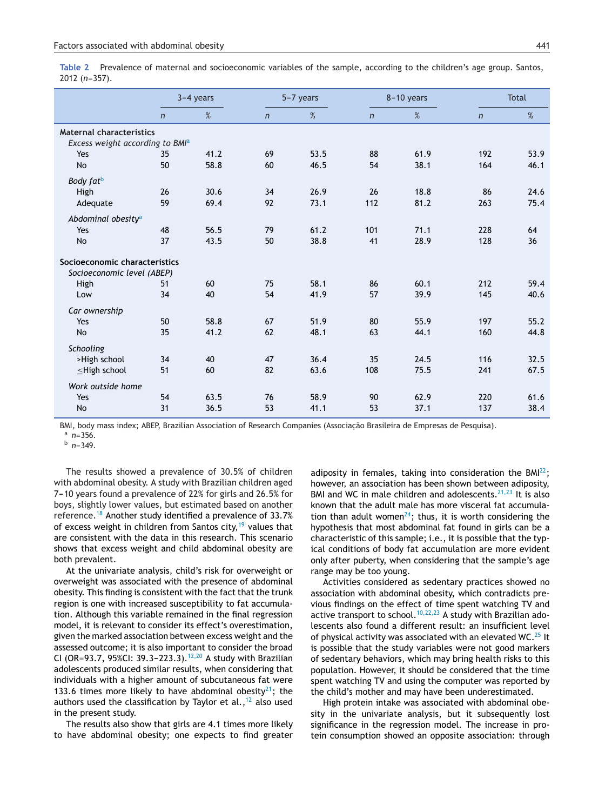|                                             | $3-4$ years    |      | 5-7 years    |      | 8-10 years   |      | <b>Total</b> |      |
|---------------------------------------------|----------------|------|--------------|------|--------------|------|--------------|------|
|                                             | $\overline{n}$ | %    | $\mathsf{n}$ | %    | $\mathsf{n}$ | %    | $\mathsf{n}$ | $\%$ |
| <b>Maternal characteristics</b>             |                |      |              |      |              |      |              |      |
| Excess weight according to BMI <sup>a</sup> |                |      |              |      |              |      |              |      |
| Yes                                         | 35             | 41.2 | 69           | 53.5 | 88           | 61.9 | 192          | 53.9 |
| <b>No</b>                                   | 50             | 58.8 | 60           | 46.5 | 54           | 38.1 | 164          | 46.1 |
| Body fat <sup>b</sup>                       |                |      |              |      |              |      |              |      |
| High                                        | 26             | 30.6 | 34           | 26.9 | 26           | 18.8 | 86           | 24.6 |
| Adequate                                    | 59             | 69.4 | 92           | 73.1 | 112          | 81.2 | 263          | 75.4 |
| Abdominal obesity <sup>a</sup>              |                |      |              |      |              |      |              |      |
| Yes                                         | 48             | 56.5 | 79           | 61.2 | 101          | 71.1 | 228          | 64   |
| <b>No</b>                                   | 37             | 43.5 | 50           | 38.8 | 41           | 28.9 | 128          | 36   |
| Socioeconomic characteristics               |                |      |              |      |              |      |              |      |
| Socioeconomic level (ABEP)                  |                |      |              |      |              |      |              |      |
| High                                        | 51             | 60   | 75           | 58.1 | 86           | 60.1 | 212          | 59.4 |
| Low                                         | 34             | 40   | 54           | 41.9 | 57           | 39.9 | 145          | 40.6 |
| Car ownership                               |                |      |              |      |              |      |              |      |
| Yes                                         | 50             | 58.8 | 67           | 51.9 | 80           | 55.9 | 197          | 55.2 |
| <b>No</b>                                   | 35             | 41.2 | 62           | 48.1 | 63           | 44.1 | 160          | 44.8 |
| Schooling                                   |                |      |              |      |              |      |              |      |
| >High school                                | 34             | 40   | 47           | 36.4 | 35           | 24.5 | 116          | 32.5 |
| $\leq$ High school                          | 51             | 60   | 82           | 63.6 | 108          | 75.5 | 241          | 67.5 |
| Work outside home                           |                |      |              |      |              |      |              |      |
| Yes                                         | 54             | 63.5 | 76           | 58.9 | 90           | 62.9 | 220          | 61.6 |
| <b>No</b>                                   | 31             | 36.5 | 53           | 41.1 | 53           | 37.1 | 137          | 38.4 |

BMI, body mass index; ABEP, Brazilian Association of Research Companies (Associação Brasileira de Empresas de Pesquisa).  $n = 356$ .

<sup>b</sup> *n*=349.

The results showed a prevalence of 30.5% of children with abdominal obesity. A study with Brazilian children aged 7-10 years found a prevalence of 22% for girls and 26.5% for boys, slightly lower values, but estimated based on another reference.[18](#page-6-0) Another study identified a prevalence of 33.7% of excess weight in children from Santos city, $19$  values that are consistent with the data in this research. This scenario shows that excess weight and child abdominal obesity are both prevalent.

At the univariate analysis, child's risk for overweight or overweight was associated with the presence of abdominal obesity. This finding is consistent with the fact that the trunk region is one with increased susceptibility to fat accumulation. Although this variable remained in the final regression model, it is relevant to consider its effect's overestimation, given the marked association between excess weight and the assessed outcome; it is also important to consider the broad CI (OR=93.7, 95%CI: 39.3–223.3).<sup>[12,20](#page-6-0)</sup> A study with Brazilian adolescents produced similar results, when considering that individuals with a higher amount of subcutaneous fat were 133.6 times more likely to have abdominal obesity<sup>21</sup>; the authors used the classification by Taylor et al.,  $12$  also used in the present study.

The results also show that girls are 4.1 times more likely to have abdominal obesity; one expects to find greater adiposity in females, taking into consideration the  $BMI<sup>22</sup>$ ; however, an association has been shown between adiposity, BMI and WC in male children and adolescents. $21,23$  It is also known that the adult male has more visceral fat accumulation than adult women<sup>24</sup>; thus, it is worth considering the hypothesis that most abdominal fat found in girls can be a characteristic of this sample; i.e., it is possible that the typical conditions of body fat accumulation are more evident only after puberty, when considering that the sample's age range may be too young.

Activities considered as sedentary practices showed no association with abdominal obesity, which contradicts previous findings on the effect of time spent watching TV and active transport to school.<sup>[10,22,23](#page-6-0)</sup> A study with Brazilian adolescents also found a different result: an insufficient level of physical activity was associated with an elevated WC.<sup>[25](#page-7-0)</sup> It is possible that the study variables were not good markers of sedentary behaviors, which may bring health risks to this population. However, it should be considered that the time spent watching TV and using the computer was reported by the child's mother and may have been underestimated.

High protein intake was associated with abdominal obesity in the univariate analysis, but it subsequently lost significance in the regression model. The increase in protein consumption showed an opposite association: through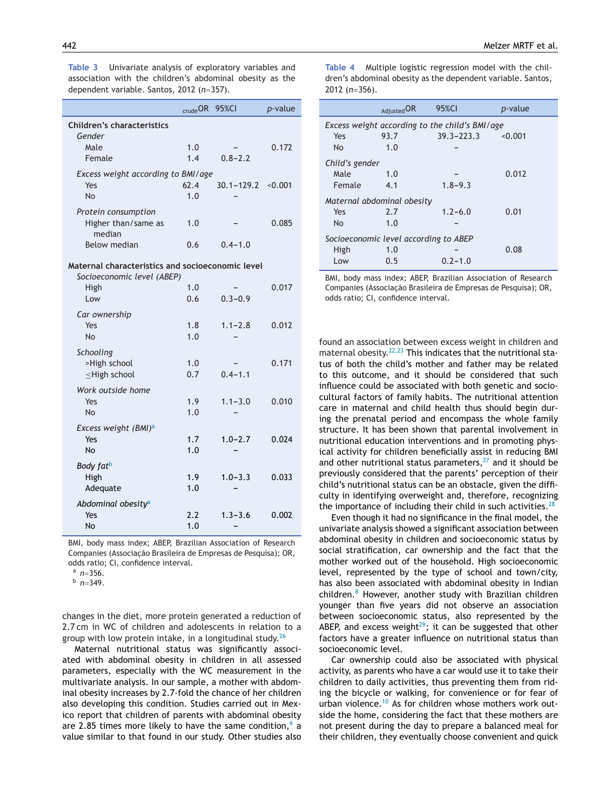<span id="page-5-0"></span>**Table 3** Univariate analysis of exploratory variables and association with the children's abdominal obesity as the dependent variable. Santos, 2012 (*n*=357).

|                                                                                | crude OR   | 95%CI          | $p$ -value |  |  |  |
|--------------------------------------------------------------------------------|------------|----------------|------------|--|--|--|
| <b>Children's characteristics</b>                                              |            |                |            |  |  |  |
| Gender<br>Male                                                                 | 1.0        |                | 0.172      |  |  |  |
| Female                                                                         | 1.4        | $0.8 - 2.2$    |            |  |  |  |
| Excess weight according to BMI/age                                             |            |                |            |  |  |  |
| Yes                                                                            | 62.4       | $30.1 - 129.2$ | < 0.001    |  |  |  |
| N <sub>O</sub>                                                                 | 1.0        |                |            |  |  |  |
| Protein consumption                                                            |            |                |            |  |  |  |
| Higher than/same as<br>median                                                  | 1.0        |                | 0.085      |  |  |  |
| <b>Below median</b>                                                            | 0.6        | $0.4 - 1.0$    |            |  |  |  |
| Maternal characteristics and socioeconomic level<br>Socioeconomic level (ABEP) |            |                |            |  |  |  |
| High                                                                           | 1.0        |                | 0.017      |  |  |  |
| Low                                                                            | 0.6        | $0.3 - 0.9$    |            |  |  |  |
| Car ownership                                                                  |            |                |            |  |  |  |
| Yes                                                                            | 1.8        | $1.1 - 2.8$    | 0.012      |  |  |  |
| <b>No</b>                                                                      | 1.0        |                |            |  |  |  |
| Schooling                                                                      |            |                |            |  |  |  |
| >High school                                                                   | 1.0        |                | 0.171      |  |  |  |
| $\leq$ High school                                                             | 0.7        | $0.4 - 1.1$    |            |  |  |  |
| Work outside home                                                              |            |                |            |  |  |  |
| Yes                                                                            | 1.9        | $1.1 - 3.0$    | 0.010      |  |  |  |
| No                                                                             | 1.0        |                |            |  |  |  |
| Excess weight (BMI) <sup>a</sup>                                               |            |                |            |  |  |  |
| Yes<br><b>No</b>                                                               | 1.7<br>1.0 | $1.0 - 2.7$    | 0.024      |  |  |  |
|                                                                                |            |                |            |  |  |  |
| Body fatb                                                                      |            |                |            |  |  |  |
| High                                                                           | 1.9<br>1.0 | $1.0 - 3.3$    | 0.033      |  |  |  |
| Adequate                                                                       |            |                |            |  |  |  |
| Abdominal obesity <sup>a</sup>                                                 |            |                |            |  |  |  |
| Yes<br>No                                                                      | 2.2<br>1.0 | $1.3 - 3.6$    | 0.002      |  |  |  |
|                                                                                |            |                |            |  |  |  |

BMI, body mass index; ABEP, Brazilian Association of Research Companies (Associacão Brasileira de Empresas de Pesquisa); OR, odds ratio; CI, confidence interval.

<sup>a</sup> *n*=356.

<sup>b</sup> *n*=349.

changes in the diet, more protein generated a reduction of 2.7 cm in WC of children and adolescents in relation to a group with low protein intake, in a longitudinal study. $^{26}$  $^{26}$  $^{26}$ 

Maternal nutritional status was significantly associated with abdominal obesity in children in all assessed parameters, especially with the WC measurement in the multivariate analysis. In our sample, a mother with abdominal obesity increases by 2.7-fold the chance of her children also developing this condition. Studies carried out in Mexico report that children of parents with abdominal obesity are 2.85 times more likely to have the same condition, $9$  a value similar to that found in our study. Other studies also **Table 4** Multiple logistic regression model with the children's abdominal obesity as the dependent variable. Santos, 2012 (*n*=356).

|                                                | Adjusted OR | 95%CI          | <i>p</i> -value |  |  |  |  |
|------------------------------------------------|-------------|----------------|-----------------|--|--|--|--|
| Excess weight according to the child's BMI/age |             |                |                 |  |  |  |  |
| Yes                                            | 93.7        | $39.3 - 223.3$ | < 0.001         |  |  |  |  |
| No.                                            | 1.0         |                |                 |  |  |  |  |
| Child's gender                                 |             |                |                 |  |  |  |  |
| Male                                           | 1.0         |                | 0.012           |  |  |  |  |
| Female                                         | 4.1         | $1.8 - 9.3$    |                 |  |  |  |  |
| Maternal abdominal obesity                     |             |                |                 |  |  |  |  |
| Yes                                            | 2.7         | $1.2 - 6.0$    | 0.01            |  |  |  |  |
| N <sub>o</sub>                                 | 1.0         |                |                 |  |  |  |  |
| Socioeconomic level according to ABEP          |             |                |                 |  |  |  |  |
| High                                           | 1.0         |                | 0.08            |  |  |  |  |
| Low                                            | 0.5         | $0.2 - 1.0$    |                 |  |  |  |  |

BMI, body mass index; ABEP, Brazilian Association of Research Companies (Associação Brasileira de Empresas de Pesquisa); OR, odds ratio; CI, confidence interval.

found an association between excess weight in children and maternal obesity.<sup>[22,23](#page-6-0)</sup> This indicates that the nutritional status of both the child's mother and father may be related to this outcome, and it should be considered that such influence could be associated with both genetic and sociocultural factors of family habits. The nutritional attention care in maternal and child health thus should begin during the prenatal period and encompass the whole family structure. It has been shown that parental involvement in nutritional education interventions and in promoting physical activity for children beneficially assist in reducing BMI and other nutritional status parameters, $27$  and it should be previously considered that the parents' perception of their child's nutritional status can be an obstacle, given the difficulty in identifying overweight and, therefore, recognizing the importance of including their child in such activities. $28$ 

Even though it had no significance in the final model, the univariate analysis showed a significant association between abdominal obesity in children and socioeconomic status by social stratification, car ownership and the fact that the mother worked out of the household. High socioeconomic level, represented by the type of school and town/city, has also been associated with abdominal obesity in Indian children.[8](#page-6-0) However, another study with Brazilian children younger than five years did not observe an association between socioeconomic status, also represented by the ABEP, and excess weight $^{29}$ ; it can be suggested that other factors have a greater influence on nutritional status than socioeconomic level.

Car ownership could also be associated with physical activity, as parents who have a car would use it to take their children to daily activities, thus preventing them from riding the bicycle or walking, for convenience or for fear of urban violence.<sup>[10](#page-6-0)</sup> As for children whose mothers work outside the home, considering the fact that these mothers are not present during the day to prepare a balanced meal for their children, they eventually choose convenient and quick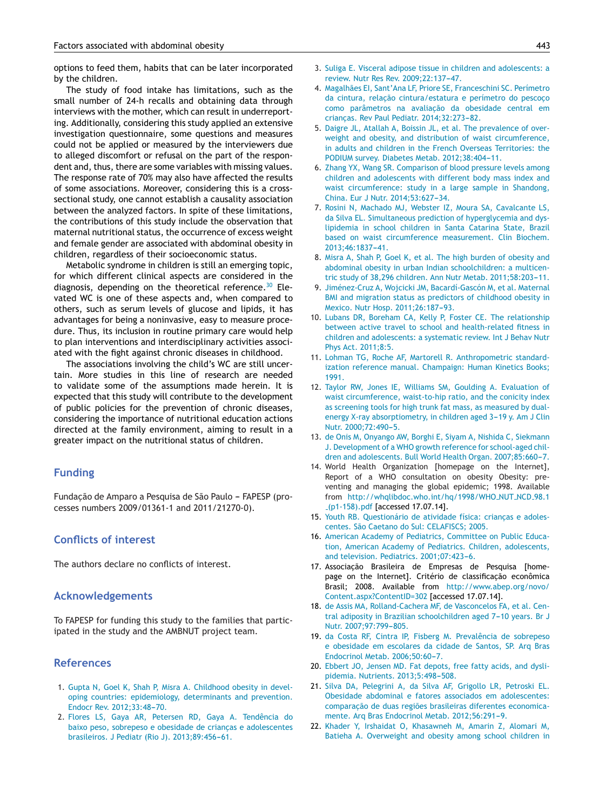<span id="page-6-0"></span>options to feed them, habits that can be later incorporated by the children.

The study of food intake has limitations, such as the small number of 24-h recalls and obtaining data through interviews with the mother, which can result in underreporting. Additionally, considering this study applied an extensive investigation questionnaire, some questions and measures could not be applied or measured by the interviewers due to alleged discomfort or refusal on the part of the respondent and, thus, there are some variables with missing values. The response rate of 70% may also have affected the results of some associations. Moreover, considering this is a crosssectional study, one cannot establish a causality association between the analyzed factors. In spite of these limitations, the contributions of this study include the observation that maternal nutritional status, the occurrence of excess weight and female gender are associated with abdominal obesity in children, regardless of their socioeconomic status.

Metabolic syndrome in children is still an emerging topic, for which different clinical aspects are considered in the diagnosis, depending on the theoretical reference.<sup>[30](#page-7-0)</sup> Elevated WC is one of these aspects and, when compared to others, such as serum levels of glucose and lipids, it has advantages for being a noninvasive, easy to measure procedure. Thus, its inclusion in routine primary care would help to plan interventions and interdisciplinary activities associated with the fight against chronic diseases in childhood.

The associations involving the child's WC are still uncertain. More studies in this line of research are needed to validate some of the assumptions made herein. It is expected that this study will contribute to the development of public policies for the prevention of chronic diseases, considering the importance of nutritional education actions directed at the family environment, aiming to result in a greater impact on the nutritional status of children.

### **Funding**

Fundação de Amparo a Pesquisa de São Paulo - FAPESP (processes numbers 2009/01361-1 and 2011/21270-0).

#### **Conflicts of interest**

The authors declare no conflicts of interest.

#### **Acknowledgements**

To FAPESP for funding this study to the families that participated in the study and the AMBNUT project team.

#### **References**

- 1. [Gupta](http://refhub.elsevier.com/S2359-3482(15)00035-4/sbref0155) [N,](http://refhub.elsevier.com/S2359-3482(15)00035-4/sbref0155) [Goel](http://refhub.elsevier.com/S2359-3482(15)00035-4/sbref0155) [K,](http://refhub.elsevier.com/S2359-3482(15)00035-4/sbref0155) [Shah](http://refhub.elsevier.com/S2359-3482(15)00035-4/sbref0155) [P,](http://refhub.elsevier.com/S2359-3482(15)00035-4/sbref0155) [Misra](http://refhub.elsevier.com/S2359-3482(15)00035-4/sbref0155) [A.](http://refhub.elsevier.com/S2359-3482(15)00035-4/sbref0155) [Childhood](http://refhub.elsevier.com/S2359-3482(15)00035-4/sbref0155) [obesity](http://refhub.elsevier.com/S2359-3482(15)00035-4/sbref0155) [in](http://refhub.elsevier.com/S2359-3482(15)00035-4/sbref0155) [devel](http://refhub.elsevier.com/S2359-3482(15)00035-4/sbref0155)[oping](http://refhub.elsevier.com/S2359-3482(15)00035-4/sbref0155) [countries:](http://refhub.elsevier.com/S2359-3482(15)00035-4/sbref0155) [epidemiology,](http://refhub.elsevier.com/S2359-3482(15)00035-4/sbref0155) [determinants](http://refhub.elsevier.com/S2359-3482(15)00035-4/sbref0155) [and](http://refhub.elsevier.com/S2359-3482(15)00035-4/sbref0155) [prevention.](http://refhub.elsevier.com/S2359-3482(15)00035-4/sbref0155) [Endocr](http://refhub.elsevier.com/S2359-3482(15)00035-4/sbref0155) [Rev.](http://refhub.elsevier.com/S2359-3482(15)00035-4/sbref0155) 2012;33:48-70.
- 2. [Flores](http://refhub.elsevier.com/S2359-3482(15)00035-4/sbref0160) [LS,](http://refhub.elsevier.com/S2359-3482(15)00035-4/sbref0160) [Gaya](http://refhub.elsevier.com/S2359-3482(15)00035-4/sbref0160) [AR,](http://refhub.elsevier.com/S2359-3482(15)00035-4/sbref0160) [Petersen](http://refhub.elsevier.com/S2359-3482(15)00035-4/sbref0160) [RD,](http://refhub.elsevier.com/S2359-3482(15)00035-4/sbref0160) [Gaya](http://refhub.elsevier.com/S2359-3482(15)00035-4/sbref0160) [A.](http://refhub.elsevier.com/S2359-3482(15)00035-4/sbref0160) [Tendência](http://refhub.elsevier.com/S2359-3482(15)00035-4/sbref0160) [do](http://refhub.elsevier.com/S2359-3482(15)00035-4/sbref0160) [baixo](http://refhub.elsevier.com/S2359-3482(15)00035-4/sbref0160) [peso,](http://refhub.elsevier.com/S2359-3482(15)00035-4/sbref0160) [sobrepeso](http://refhub.elsevier.com/S2359-3482(15)00035-4/sbref0160) [e](http://refhub.elsevier.com/S2359-3482(15)00035-4/sbref0160) [obesidade](http://refhub.elsevier.com/S2359-3482(15)00035-4/sbref0160) [de](http://refhub.elsevier.com/S2359-3482(15)00035-4/sbref0160) crianças e [adolescentes](http://refhub.elsevier.com/S2359-3482(15)00035-4/sbref0160) [brasileiros.](http://refhub.elsevier.com/S2359-3482(15)00035-4/sbref0160) [J](http://refhub.elsevier.com/S2359-3482(15)00035-4/sbref0160) [Pediatr](http://refhub.elsevier.com/S2359-3482(15)00035-4/sbref0160) [\(Rio](http://refhub.elsevier.com/S2359-3482(15)00035-4/sbref0160) [J\).](http://refhub.elsevier.com/S2359-3482(15)00035-4/sbref0160) 2013;89:456-61.
- 3. [Suliga](http://refhub.elsevier.com/S2359-3482(15)00035-4/sbref0165) [E.](http://refhub.elsevier.com/S2359-3482(15)00035-4/sbref0165) [Visceral](http://refhub.elsevier.com/S2359-3482(15)00035-4/sbref0165) [adipose](http://refhub.elsevier.com/S2359-3482(15)00035-4/sbref0165) [tissue](http://refhub.elsevier.com/S2359-3482(15)00035-4/sbref0165) [in](http://refhub.elsevier.com/S2359-3482(15)00035-4/sbref0165) [children](http://refhub.elsevier.com/S2359-3482(15)00035-4/sbref0165) [and](http://refhub.elsevier.com/S2359-3482(15)00035-4/sbref0165) [adolescents:](http://refhub.elsevier.com/S2359-3482(15)00035-4/sbref0165) [a](http://refhub.elsevier.com/S2359-3482(15)00035-4/sbref0165) [review.](http://refhub.elsevier.com/S2359-3482(15)00035-4/sbref0165) [Nutr](http://refhub.elsevier.com/S2359-3482(15)00035-4/sbref0165) [Res](http://refhub.elsevier.com/S2359-3482(15)00035-4/sbref0165) [Rev.](http://refhub.elsevier.com/S2359-3482(15)00035-4/sbref0165) 2009;22:137-47.
- 4. [Magalhães](http://refhub.elsevier.com/S2359-3482(15)00035-4/sbref0170) [EI,](http://refhub.elsevier.com/S2359-3482(15)00035-4/sbref0170) [Sant'Ana](http://refhub.elsevier.com/S2359-3482(15)00035-4/sbref0170) [LF,](http://refhub.elsevier.com/S2359-3482(15)00035-4/sbref0170) [Priore](http://refhub.elsevier.com/S2359-3482(15)00035-4/sbref0170) [SE,](http://refhub.elsevier.com/S2359-3482(15)00035-4/sbref0170) [Franceschini](http://refhub.elsevier.com/S2359-3482(15)00035-4/sbref0170) [SC.](http://refhub.elsevier.com/S2359-3482(15)00035-4/sbref0170) [Perímetro](http://refhub.elsevier.com/S2359-3482(15)00035-4/sbref0170) [da](http://refhub.elsevier.com/S2359-3482(15)00035-4/sbref0170) [cintura,](http://refhub.elsevier.com/S2359-3482(15)00035-4/sbref0170) relação [cintura/estatura](http://refhub.elsevier.com/S2359-3482(15)00035-4/sbref0170) [e](http://refhub.elsevier.com/S2359-3482(15)00035-4/sbref0170) [perímetro](http://refhub.elsevier.com/S2359-3482(15)00035-4/sbref0170) [do](http://refhub.elsevier.com/S2359-3482(15)00035-4/sbref0170) pescoço [como](http://refhub.elsevier.com/S2359-3482(15)00035-4/sbref0170) [parâmetros](http://refhub.elsevier.com/S2359-3482(15)00035-4/sbref0170) [na](http://refhub.elsevier.com/S2359-3482(15)00035-4/sbref0170) avaliação [da](http://refhub.elsevier.com/S2359-3482(15)00035-4/sbref0170) [obesidade](http://refhub.elsevier.com/S2359-3482(15)00035-4/sbref0170) [central](http://refhub.elsevier.com/S2359-3482(15)00035-4/sbref0170) [em](http://refhub.elsevier.com/S2359-3482(15)00035-4/sbref0170) criancas. [Rev](http://refhub.elsevier.com/S2359-3482(15)00035-4/sbref0170) [Paul](http://refhub.elsevier.com/S2359-3482(15)00035-4/sbref0170) [Pediatr.](http://refhub.elsevier.com/S2359-3482(15)00035-4/sbref0170) 2014;32:273-82.
- 5. [Daigre](http://refhub.elsevier.com/S2359-3482(15)00035-4/sbref0175) [JL,](http://refhub.elsevier.com/S2359-3482(15)00035-4/sbref0175) [Atallah](http://refhub.elsevier.com/S2359-3482(15)00035-4/sbref0175) [A,](http://refhub.elsevier.com/S2359-3482(15)00035-4/sbref0175) [Boissin](http://refhub.elsevier.com/S2359-3482(15)00035-4/sbref0175) [JL,](http://refhub.elsevier.com/S2359-3482(15)00035-4/sbref0175) [et](http://refhub.elsevier.com/S2359-3482(15)00035-4/sbref0175) [al.](http://refhub.elsevier.com/S2359-3482(15)00035-4/sbref0175) [The](http://refhub.elsevier.com/S2359-3482(15)00035-4/sbref0175) [prevalence](http://refhub.elsevier.com/S2359-3482(15)00035-4/sbref0175) [of](http://refhub.elsevier.com/S2359-3482(15)00035-4/sbref0175) [over](http://refhub.elsevier.com/S2359-3482(15)00035-4/sbref0175)[weight](http://refhub.elsevier.com/S2359-3482(15)00035-4/sbref0175) [and](http://refhub.elsevier.com/S2359-3482(15)00035-4/sbref0175) [obesity,](http://refhub.elsevier.com/S2359-3482(15)00035-4/sbref0175) [and](http://refhub.elsevier.com/S2359-3482(15)00035-4/sbref0175) [distribution](http://refhub.elsevier.com/S2359-3482(15)00035-4/sbref0175) [of](http://refhub.elsevier.com/S2359-3482(15)00035-4/sbref0175) [waist](http://refhub.elsevier.com/S2359-3482(15)00035-4/sbref0175) [circumference,](http://refhub.elsevier.com/S2359-3482(15)00035-4/sbref0175) [in](http://refhub.elsevier.com/S2359-3482(15)00035-4/sbref0175) [adults](http://refhub.elsevier.com/S2359-3482(15)00035-4/sbref0175) [and](http://refhub.elsevier.com/S2359-3482(15)00035-4/sbref0175) [children](http://refhub.elsevier.com/S2359-3482(15)00035-4/sbref0175) [in](http://refhub.elsevier.com/S2359-3482(15)00035-4/sbref0175) [the](http://refhub.elsevier.com/S2359-3482(15)00035-4/sbref0175) [French](http://refhub.elsevier.com/S2359-3482(15)00035-4/sbref0175) [Overseas](http://refhub.elsevier.com/S2359-3482(15)00035-4/sbref0175) [Territories:](http://refhub.elsevier.com/S2359-3482(15)00035-4/sbref0175) [the](http://refhub.elsevier.com/S2359-3482(15)00035-4/sbref0175) [PODIUM](http://refhub.elsevier.com/S2359-3482(15)00035-4/sbref0175) [survey.](http://refhub.elsevier.com/S2359-3482(15)00035-4/sbref0175) [Diabetes](http://refhub.elsevier.com/S2359-3482(15)00035-4/sbref0175) [Metab.](http://refhub.elsevier.com/S2359-3482(15)00035-4/sbref0175) 2012;38:404-11.
- 6. [Zhang](http://refhub.elsevier.com/S2359-3482(15)00035-4/sbref0180) [YX,](http://refhub.elsevier.com/S2359-3482(15)00035-4/sbref0180) [Wang](http://refhub.elsevier.com/S2359-3482(15)00035-4/sbref0180) [SR.](http://refhub.elsevier.com/S2359-3482(15)00035-4/sbref0180) [Comparison](http://refhub.elsevier.com/S2359-3482(15)00035-4/sbref0180) [of](http://refhub.elsevier.com/S2359-3482(15)00035-4/sbref0180) [blood](http://refhub.elsevier.com/S2359-3482(15)00035-4/sbref0180) [pressure](http://refhub.elsevier.com/S2359-3482(15)00035-4/sbref0180) [levels](http://refhub.elsevier.com/S2359-3482(15)00035-4/sbref0180) [among](http://refhub.elsevier.com/S2359-3482(15)00035-4/sbref0180) [children](http://refhub.elsevier.com/S2359-3482(15)00035-4/sbref0180) [and](http://refhub.elsevier.com/S2359-3482(15)00035-4/sbref0180) [adolescents](http://refhub.elsevier.com/S2359-3482(15)00035-4/sbref0180) [with](http://refhub.elsevier.com/S2359-3482(15)00035-4/sbref0180) [different](http://refhub.elsevier.com/S2359-3482(15)00035-4/sbref0180) [body](http://refhub.elsevier.com/S2359-3482(15)00035-4/sbref0180) [mass](http://refhub.elsevier.com/S2359-3482(15)00035-4/sbref0180) [index](http://refhub.elsevier.com/S2359-3482(15)00035-4/sbref0180) [and](http://refhub.elsevier.com/S2359-3482(15)00035-4/sbref0180) [waist](http://refhub.elsevier.com/S2359-3482(15)00035-4/sbref0180) [circumference:](http://refhub.elsevier.com/S2359-3482(15)00035-4/sbref0180) [study](http://refhub.elsevier.com/S2359-3482(15)00035-4/sbref0180) [in](http://refhub.elsevier.com/S2359-3482(15)00035-4/sbref0180) [a](http://refhub.elsevier.com/S2359-3482(15)00035-4/sbref0180) [large](http://refhub.elsevier.com/S2359-3482(15)00035-4/sbref0180) [sample](http://refhub.elsevier.com/S2359-3482(15)00035-4/sbref0180) [in](http://refhub.elsevier.com/S2359-3482(15)00035-4/sbref0180) [Shandong,](http://refhub.elsevier.com/S2359-3482(15)00035-4/sbref0180) [China.](http://refhub.elsevier.com/S2359-3482(15)00035-4/sbref0180) [Eur](http://refhub.elsevier.com/S2359-3482(15)00035-4/sbref0180) [J](http://refhub.elsevier.com/S2359-3482(15)00035-4/sbref0180) [Nutr.](http://refhub.elsevier.com/S2359-3482(15)00035-4/sbref0180) [2014;53:627-](http://refhub.elsevier.com/S2359-3482(15)00035-4/sbref0180)[34.](http://refhub.elsevier.com/S2359-3482(15)00035-4/sbref0180)
- 7. [Rosini](http://refhub.elsevier.com/S2359-3482(15)00035-4/sbref0185) [N,](http://refhub.elsevier.com/S2359-3482(15)00035-4/sbref0185) [Machado](http://refhub.elsevier.com/S2359-3482(15)00035-4/sbref0185) [MJ,](http://refhub.elsevier.com/S2359-3482(15)00035-4/sbref0185) [Webster](http://refhub.elsevier.com/S2359-3482(15)00035-4/sbref0185) [IZ,](http://refhub.elsevier.com/S2359-3482(15)00035-4/sbref0185) [Moura](http://refhub.elsevier.com/S2359-3482(15)00035-4/sbref0185) [SA,](http://refhub.elsevier.com/S2359-3482(15)00035-4/sbref0185) [Cavalcante](http://refhub.elsevier.com/S2359-3482(15)00035-4/sbref0185) [LS,](http://refhub.elsevier.com/S2359-3482(15)00035-4/sbref0185) [da](http://refhub.elsevier.com/S2359-3482(15)00035-4/sbref0185) [Silva](http://refhub.elsevier.com/S2359-3482(15)00035-4/sbref0185) [EL.](http://refhub.elsevier.com/S2359-3482(15)00035-4/sbref0185) [Simultaneous](http://refhub.elsevier.com/S2359-3482(15)00035-4/sbref0185) [prediction](http://refhub.elsevier.com/S2359-3482(15)00035-4/sbref0185) [of](http://refhub.elsevier.com/S2359-3482(15)00035-4/sbref0185) [hyperglycemia](http://refhub.elsevier.com/S2359-3482(15)00035-4/sbref0185) [and](http://refhub.elsevier.com/S2359-3482(15)00035-4/sbref0185) [dys](http://refhub.elsevier.com/S2359-3482(15)00035-4/sbref0185)[lipidemia](http://refhub.elsevier.com/S2359-3482(15)00035-4/sbref0185) [in](http://refhub.elsevier.com/S2359-3482(15)00035-4/sbref0185) [school](http://refhub.elsevier.com/S2359-3482(15)00035-4/sbref0185) [children](http://refhub.elsevier.com/S2359-3482(15)00035-4/sbref0185) [in](http://refhub.elsevier.com/S2359-3482(15)00035-4/sbref0185) [Santa](http://refhub.elsevier.com/S2359-3482(15)00035-4/sbref0185) [Catarina](http://refhub.elsevier.com/S2359-3482(15)00035-4/sbref0185) [State,](http://refhub.elsevier.com/S2359-3482(15)00035-4/sbref0185) [Brazil](http://refhub.elsevier.com/S2359-3482(15)00035-4/sbref0185) [based](http://refhub.elsevier.com/S2359-3482(15)00035-4/sbref0185) [on](http://refhub.elsevier.com/S2359-3482(15)00035-4/sbref0185) [waist](http://refhub.elsevier.com/S2359-3482(15)00035-4/sbref0185) [circumference](http://refhub.elsevier.com/S2359-3482(15)00035-4/sbref0185) [measurement.](http://refhub.elsevier.com/S2359-3482(15)00035-4/sbref0185) [Clin](http://refhub.elsevier.com/S2359-3482(15)00035-4/sbref0185) [Biochem.](http://refhub.elsevier.com/S2359-3482(15)00035-4/sbref0185)  $2013:46:1837-41.$  $2013:46:1837-41.$
- 8. [Misra](http://refhub.elsevier.com/S2359-3482(15)00035-4/sbref0190) [A,](http://refhub.elsevier.com/S2359-3482(15)00035-4/sbref0190) [Shah](http://refhub.elsevier.com/S2359-3482(15)00035-4/sbref0190) [P,](http://refhub.elsevier.com/S2359-3482(15)00035-4/sbref0190) [Goel](http://refhub.elsevier.com/S2359-3482(15)00035-4/sbref0190) [K,](http://refhub.elsevier.com/S2359-3482(15)00035-4/sbref0190) [et](http://refhub.elsevier.com/S2359-3482(15)00035-4/sbref0190) [al.](http://refhub.elsevier.com/S2359-3482(15)00035-4/sbref0190) [The](http://refhub.elsevier.com/S2359-3482(15)00035-4/sbref0190) [high](http://refhub.elsevier.com/S2359-3482(15)00035-4/sbref0190) [burden](http://refhub.elsevier.com/S2359-3482(15)00035-4/sbref0190) [of](http://refhub.elsevier.com/S2359-3482(15)00035-4/sbref0190) [obesity](http://refhub.elsevier.com/S2359-3482(15)00035-4/sbref0190) [and](http://refhub.elsevier.com/S2359-3482(15)00035-4/sbref0190) [abdominal](http://refhub.elsevier.com/S2359-3482(15)00035-4/sbref0190) [obesity](http://refhub.elsevier.com/S2359-3482(15)00035-4/sbref0190) [in](http://refhub.elsevier.com/S2359-3482(15)00035-4/sbref0190) [urban](http://refhub.elsevier.com/S2359-3482(15)00035-4/sbref0190) [Indian](http://refhub.elsevier.com/S2359-3482(15)00035-4/sbref0190) [schoolchildren:](http://refhub.elsevier.com/S2359-3482(15)00035-4/sbref0190) [a](http://refhub.elsevier.com/S2359-3482(15)00035-4/sbref0190) [multicen](http://refhub.elsevier.com/S2359-3482(15)00035-4/sbref0190)[tric](http://refhub.elsevier.com/S2359-3482(15)00035-4/sbref0190) [study](http://refhub.elsevier.com/S2359-3482(15)00035-4/sbref0190) [of](http://refhub.elsevier.com/S2359-3482(15)00035-4/sbref0190) [38,296](http://refhub.elsevier.com/S2359-3482(15)00035-4/sbref0190) [children.](http://refhub.elsevier.com/S2359-3482(15)00035-4/sbref0190) [Ann](http://refhub.elsevier.com/S2359-3482(15)00035-4/sbref0190) [Nutr](http://refhub.elsevier.com/S2359-3482(15)00035-4/sbref0190) [Metab.](http://refhub.elsevier.com/S2359-3482(15)00035-4/sbref0190) 2011;58:203-11.
- 9. [Jiménez-Cruz](http://refhub.elsevier.com/S2359-3482(15)00035-4/sbref0195) [A,](http://refhub.elsevier.com/S2359-3482(15)00035-4/sbref0195) [Wojcicki](http://refhub.elsevier.com/S2359-3482(15)00035-4/sbref0195) [JM,](http://refhub.elsevier.com/S2359-3482(15)00035-4/sbref0195) [Bacardí-Gascón](http://refhub.elsevier.com/S2359-3482(15)00035-4/sbref0195) [M,](http://refhub.elsevier.com/S2359-3482(15)00035-4/sbref0195) [et](http://refhub.elsevier.com/S2359-3482(15)00035-4/sbref0195) [al.](http://refhub.elsevier.com/S2359-3482(15)00035-4/sbref0195) [Maternal](http://refhub.elsevier.com/S2359-3482(15)00035-4/sbref0195) [BMI](http://refhub.elsevier.com/S2359-3482(15)00035-4/sbref0195) [and](http://refhub.elsevier.com/S2359-3482(15)00035-4/sbref0195) [migration](http://refhub.elsevier.com/S2359-3482(15)00035-4/sbref0195) [status](http://refhub.elsevier.com/S2359-3482(15)00035-4/sbref0195) [as](http://refhub.elsevier.com/S2359-3482(15)00035-4/sbref0195) [predictors](http://refhub.elsevier.com/S2359-3482(15)00035-4/sbref0195) [of](http://refhub.elsevier.com/S2359-3482(15)00035-4/sbref0195) [childhood](http://refhub.elsevier.com/S2359-3482(15)00035-4/sbref0195) [obesity](http://refhub.elsevier.com/S2359-3482(15)00035-4/sbref0195) [in](http://refhub.elsevier.com/S2359-3482(15)00035-4/sbref0195) [Mexico.](http://refhub.elsevier.com/S2359-3482(15)00035-4/sbref0195) [Nutr](http://refhub.elsevier.com/S2359-3482(15)00035-4/sbref0195) [Hosp.](http://refhub.elsevier.com/S2359-3482(15)00035-4/sbref0195) 2011;26:187-93.
- 10. [Lubans](http://refhub.elsevier.com/S2359-3482(15)00035-4/sbref0200) [DR,](http://refhub.elsevier.com/S2359-3482(15)00035-4/sbref0200) [Boreham](http://refhub.elsevier.com/S2359-3482(15)00035-4/sbref0200) [CA,](http://refhub.elsevier.com/S2359-3482(15)00035-4/sbref0200) [Kelly](http://refhub.elsevier.com/S2359-3482(15)00035-4/sbref0200) [P,](http://refhub.elsevier.com/S2359-3482(15)00035-4/sbref0200) [Foster](http://refhub.elsevier.com/S2359-3482(15)00035-4/sbref0200) [CE.](http://refhub.elsevier.com/S2359-3482(15)00035-4/sbref0200) [The](http://refhub.elsevier.com/S2359-3482(15)00035-4/sbref0200) [relationship](http://refhub.elsevier.com/S2359-3482(15)00035-4/sbref0200) [between](http://refhub.elsevier.com/S2359-3482(15)00035-4/sbref0200) [active](http://refhub.elsevier.com/S2359-3482(15)00035-4/sbref0200) [travel](http://refhub.elsevier.com/S2359-3482(15)00035-4/sbref0200) [to](http://refhub.elsevier.com/S2359-3482(15)00035-4/sbref0200) [school](http://refhub.elsevier.com/S2359-3482(15)00035-4/sbref0200) [and](http://refhub.elsevier.com/S2359-3482(15)00035-4/sbref0200) [health-related](http://refhub.elsevier.com/S2359-3482(15)00035-4/sbref0200) [fitness](http://refhub.elsevier.com/S2359-3482(15)00035-4/sbref0200) [in](http://refhub.elsevier.com/S2359-3482(15)00035-4/sbref0200) [children](http://refhub.elsevier.com/S2359-3482(15)00035-4/sbref0200) [and](http://refhub.elsevier.com/S2359-3482(15)00035-4/sbref0200) [adolescents:](http://refhub.elsevier.com/S2359-3482(15)00035-4/sbref0200) [a](http://refhub.elsevier.com/S2359-3482(15)00035-4/sbref0200) [systematic](http://refhub.elsevier.com/S2359-3482(15)00035-4/sbref0200) [review.](http://refhub.elsevier.com/S2359-3482(15)00035-4/sbref0200) [Int](http://refhub.elsevier.com/S2359-3482(15)00035-4/sbref0200) [J](http://refhub.elsevier.com/S2359-3482(15)00035-4/sbref0200) [Behav](http://refhub.elsevier.com/S2359-3482(15)00035-4/sbref0200) [Nutr](http://refhub.elsevier.com/S2359-3482(15)00035-4/sbref0200) [Phys](http://refhub.elsevier.com/S2359-3482(15)00035-4/sbref0200) [Act.](http://refhub.elsevier.com/S2359-3482(15)00035-4/sbref0200) [2011;8:5.](http://refhub.elsevier.com/S2359-3482(15)00035-4/sbref0200)
- 11. [Lohman](http://refhub.elsevier.com/S2359-3482(15)00035-4/sbref0205) [TG,](http://refhub.elsevier.com/S2359-3482(15)00035-4/sbref0205) [Roche](http://refhub.elsevier.com/S2359-3482(15)00035-4/sbref0205) [AF,](http://refhub.elsevier.com/S2359-3482(15)00035-4/sbref0205) [Martorell](http://refhub.elsevier.com/S2359-3482(15)00035-4/sbref0205) [R.](http://refhub.elsevier.com/S2359-3482(15)00035-4/sbref0205) [Anthropometric](http://refhub.elsevier.com/S2359-3482(15)00035-4/sbref0205) [standard](http://refhub.elsevier.com/S2359-3482(15)00035-4/sbref0205)[ization](http://refhub.elsevier.com/S2359-3482(15)00035-4/sbref0205) [reference](http://refhub.elsevier.com/S2359-3482(15)00035-4/sbref0205) [manual.](http://refhub.elsevier.com/S2359-3482(15)00035-4/sbref0205) [Champaign:](http://refhub.elsevier.com/S2359-3482(15)00035-4/sbref0205) [Human](http://refhub.elsevier.com/S2359-3482(15)00035-4/sbref0205) [Kinetics](http://refhub.elsevier.com/S2359-3482(15)00035-4/sbref0205) [Books;](http://refhub.elsevier.com/S2359-3482(15)00035-4/sbref0205) [1991.](http://refhub.elsevier.com/S2359-3482(15)00035-4/sbref0205)
- 12. [Taylor](http://refhub.elsevier.com/S2359-3482(15)00035-4/sbref0210) [RW,](http://refhub.elsevier.com/S2359-3482(15)00035-4/sbref0210) [Jones](http://refhub.elsevier.com/S2359-3482(15)00035-4/sbref0210) [IE,](http://refhub.elsevier.com/S2359-3482(15)00035-4/sbref0210) [Williams](http://refhub.elsevier.com/S2359-3482(15)00035-4/sbref0210) [SM,](http://refhub.elsevier.com/S2359-3482(15)00035-4/sbref0210) [Goulding](http://refhub.elsevier.com/S2359-3482(15)00035-4/sbref0210) [A.](http://refhub.elsevier.com/S2359-3482(15)00035-4/sbref0210) [Evaluation](http://refhub.elsevier.com/S2359-3482(15)00035-4/sbref0210) [of](http://refhub.elsevier.com/S2359-3482(15)00035-4/sbref0210) [waist](http://refhub.elsevier.com/S2359-3482(15)00035-4/sbref0210) [circumference,](http://refhub.elsevier.com/S2359-3482(15)00035-4/sbref0210) [waist-to-hip](http://refhub.elsevier.com/S2359-3482(15)00035-4/sbref0210) [ratio,](http://refhub.elsevier.com/S2359-3482(15)00035-4/sbref0210) [and](http://refhub.elsevier.com/S2359-3482(15)00035-4/sbref0210) [the](http://refhub.elsevier.com/S2359-3482(15)00035-4/sbref0210) [conicity](http://refhub.elsevier.com/S2359-3482(15)00035-4/sbref0210) [index](http://refhub.elsevier.com/S2359-3482(15)00035-4/sbref0210) [as](http://refhub.elsevier.com/S2359-3482(15)00035-4/sbref0210) [screening](http://refhub.elsevier.com/S2359-3482(15)00035-4/sbref0210) [tools](http://refhub.elsevier.com/S2359-3482(15)00035-4/sbref0210) [for](http://refhub.elsevier.com/S2359-3482(15)00035-4/sbref0210) [high](http://refhub.elsevier.com/S2359-3482(15)00035-4/sbref0210) [trunk](http://refhub.elsevier.com/S2359-3482(15)00035-4/sbref0210) [fat](http://refhub.elsevier.com/S2359-3482(15)00035-4/sbref0210) [mass,](http://refhub.elsevier.com/S2359-3482(15)00035-4/sbref0210) [as](http://refhub.elsevier.com/S2359-3482(15)00035-4/sbref0210) [measured](http://refhub.elsevier.com/S2359-3482(15)00035-4/sbref0210) [by](http://refhub.elsevier.com/S2359-3482(15)00035-4/sbref0210) [dual](http://refhub.elsevier.com/S2359-3482(15)00035-4/sbref0210)[energy](http://refhub.elsevier.com/S2359-3482(15)00035-4/sbref0210) [X-ray](http://refhub.elsevier.com/S2359-3482(15)00035-4/sbref0210) [absorptiometry,](http://refhub.elsevier.com/S2359-3482(15)00035-4/sbref0210) [in](http://refhub.elsevier.com/S2359-3482(15)00035-4/sbref0210) [children](http://refhub.elsevier.com/S2359-3482(15)00035-4/sbref0210) [aged](http://refhub.elsevier.com/S2359-3482(15)00035-4/sbref0210) 3-19 [y.](http://refhub.elsevier.com/S2359-3482(15)00035-4/sbref0210) [Am](http://refhub.elsevier.com/S2359-3482(15)00035-4/sbref0210) [J](http://refhub.elsevier.com/S2359-3482(15)00035-4/sbref0210) [Clin](http://refhub.elsevier.com/S2359-3482(15)00035-4/sbref0210) [Nutr.](http://refhub.elsevier.com/S2359-3482(15)00035-4/sbref0210) 2000;72:490-5.
- 13. [de](http://refhub.elsevier.com/S2359-3482(15)00035-4/sbref0215) [Onis](http://refhub.elsevier.com/S2359-3482(15)00035-4/sbref0215) [M,](http://refhub.elsevier.com/S2359-3482(15)00035-4/sbref0215) [Onyango](http://refhub.elsevier.com/S2359-3482(15)00035-4/sbref0215) [AW,](http://refhub.elsevier.com/S2359-3482(15)00035-4/sbref0215) [Borghi](http://refhub.elsevier.com/S2359-3482(15)00035-4/sbref0215) [E,](http://refhub.elsevier.com/S2359-3482(15)00035-4/sbref0215) [Siyam](http://refhub.elsevier.com/S2359-3482(15)00035-4/sbref0215) [A,](http://refhub.elsevier.com/S2359-3482(15)00035-4/sbref0215) [Nishida](http://refhub.elsevier.com/S2359-3482(15)00035-4/sbref0215) [C,](http://refhub.elsevier.com/S2359-3482(15)00035-4/sbref0215) [Siekmann](http://refhub.elsevier.com/S2359-3482(15)00035-4/sbref0215) [J.](http://refhub.elsevier.com/S2359-3482(15)00035-4/sbref0215) [Development](http://refhub.elsevier.com/S2359-3482(15)00035-4/sbref0215) [of](http://refhub.elsevier.com/S2359-3482(15)00035-4/sbref0215) [a](http://refhub.elsevier.com/S2359-3482(15)00035-4/sbref0215) [WHO](http://refhub.elsevier.com/S2359-3482(15)00035-4/sbref0215) [growth](http://refhub.elsevier.com/S2359-3482(15)00035-4/sbref0215) [reference](http://refhub.elsevier.com/S2359-3482(15)00035-4/sbref0215) [for](http://refhub.elsevier.com/S2359-3482(15)00035-4/sbref0215) [school-aged](http://refhub.elsevier.com/S2359-3482(15)00035-4/sbref0215) [chil](http://refhub.elsevier.com/S2359-3482(15)00035-4/sbref0215)[dren](http://refhub.elsevier.com/S2359-3482(15)00035-4/sbref0215) [and](http://refhub.elsevier.com/S2359-3482(15)00035-4/sbref0215) [adolescents.](http://refhub.elsevier.com/S2359-3482(15)00035-4/sbref0215) [Bull](http://refhub.elsevier.com/S2359-3482(15)00035-4/sbref0215) [World](http://refhub.elsevier.com/S2359-3482(15)00035-4/sbref0215) [Health](http://refhub.elsevier.com/S2359-3482(15)00035-4/sbref0215) [Organ.](http://refhub.elsevier.com/S2359-3482(15)00035-4/sbref0215) [2007;85:660](http://refhub.elsevier.com/S2359-3482(15)00035-4/sbref0215)-[7.](http://refhub.elsevier.com/S2359-3482(15)00035-4/sbref0215)
- 14. World Health Organization [homepage on the Internet], Report of a WHO consultation on obesity Obesity: preventing and managing the global epidemic; 1998. Available from [http://whqlibdoc.who.int/hq/1998/WHO](http://whqlibdoc.who.int/hq/1998/WHO_NUT_NCD_98.1_(p1-158).pdf)\_NUT\_NCD\_98.1  $(D1-158)$ .pdf [accessed 17.07.14].
- 15. [Youth](http://refhub.elsevier.com/S2359-3482(15)00035-4/sbref0225) [RB.](http://refhub.elsevier.com/S2359-3482(15)00035-4/sbref0225) [Questionário](http://refhub.elsevier.com/S2359-3482(15)00035-4/sbref0225) [de](http://refhub.elsevier.com/S2359-3482(15)00035-4/sbref0225) [atividade](http://refhub.elsevier.com/S2359-3482(15)00035-4/sbref0225) [física:](http://refhub.elsevier.com/S2359-3482(15)00035-4/sbref0225) crianças [e](http://refhub.elsevier.com/S2359-3482(15)00035-4/sbref0225) [adoles](http://refhub.elsevier.com/S2359-3482(15)00035-4/sbref0225)[centes.](http://refhub.elsevier.com/S2359-3482(15)00035-4/sbref0225) [São](http://refhub.elsevier.com/S2359-3482(15)00035-4/sbref0225) [Caetano](http://refhub.elsevier.com/S2359-3482(15)00035-4/sbref0225) [do](http://refhub.elsevier.com/S2359-3482(15)00035-4/sbref0225) [Sul:](http://refhub.elsevier.com/S2359-3482(15)00035-4/sbref0225) [CELAFISCS;](http://refhub.elsevier.com/S2359-3482(15)00035-4/sbref0225) [2005.](http://refhub.elsevier.com/S2359-3482(15)00035-4/sbref0225)
- 16. [American](http://refhub.elsevier.com/S2359-3482(15)00035-4/sbref0230) [Academy](http://refhub.elsevier.com/S2359-3482(15)00035-4/sbref0230) [of](http://refhub.elsevier.com/S2359-3482(15)00035-4/sbref0230) [Pediatrics,](http://refhub.elsevier.com/S2359-3482(15)00035-4/sbref0230) [Committee](http://refhub.elsevier.com/S2359-3482(15)00035-4/sbref0230) [on](http://refhub.elsevier.com/S2359-3482(15)00035-4/sbref0230) [Public](http://refhub.elsevier.com/S2359-3482(15)00035-4/sbref0230) [Educa](http://refhub.elsevier.com/S2359-3482(15)00035-4/sbref0230)[tion,](http://refhub.elsevier.com/S2359-3482(15)00035-4/sbref0230) [American](http://refhub.elsevier.com/S2359-3482(15)00035-4/sbref0230) [Academy](http://refhub.elsevier.com/S2359-3482(15)00035-4/sbref0230) [of](http://refhub.elsevier.com/S2359-3482(15)00035-4/sbref0230) [Pediatrics.](http://refhub.elsevier.com/S2359-3482(15)00035-4/sbref0230) [Children,](http://refhub.elsevier.com/S2359-3482(15)00035-4/sbref0230) [adolescents,](http://refhub.elsevier.com/S2359-3482(15)00035-4/sbref0230) [and](http://refhub.elsevier.com/S2359-3482(15)00035-4/sbref0230) [television.](http://refhub.elsevier.com/S2359-3482(15)00035-4/sbref0230) [Pediatrics.](http://refhub.elsevier.com/S2359-3482(15)00035-4/sbref0230) 2001;07:423-6.
- 17. Associação Brasileira de Empresas de Pesquisa [homepage on the Internet]. Critério de classificação econômica Brasil; 2008. Available from [http://www.abep.org/novo/](http://www.abep.org/novo/Content.aspx?ContentID=302) [Content.aspx?ContentID=302](http://www.abep.org/novo/Content.aspx?ContentID=302) [accessed 17.07.14].
- 18. [de](http://refhub.elsevier.com/S2359-3482(15)00035-4/sbref0240) [Assis](http://refhub.elsevier.com/S2359-3482(15)00035-4/sbref0240) [MA,](http://refhub.elsevier.com/S2359-3482(15)00035-4/sbref0240) [Rolland-Cachera](http://refhub.elsevier.com/S2359-3482(15)00035-4/sbref0240) [MF,](http://refhub.elsevier.com/S2359-3482(15)00035-4/sbref0240) [de](http://refhub.elsevier.com/S2359-3482(15)00035-4/sbref0240) [Vasconcelos](http://refhub.elsevier.com/S2359-3482(15)00035-4/sbref0240) [FA,](http://refhub.elsevier.com/S2359-3482(15)00035-4/sbref0240) [et](http://refhub.elsevier.com/S2359-3482(15)00035-4/sbref0240) [al.](http://refhub.elsevier.com/S2359-3482(15)00035-4/sbref0240) [Cen](http://refhub.elsevier.com/S2359-3482(15)00035-4/sbref0240)[tral](http://refhub.elsevier.com/S2359-3482(15)00035-4/sbref0240) [adiposity](http://refhub.elsevier.com/S2359-3482(15)00035-4/sbref0240) [in](http://refhub.elsevier.com/S2359-3482(15)00035-4/sbref0240) [Brazilian](http://refhub.elsevier.com/S2359-3482(15)00035-4/sbref0240) [schoolchildren](http://refhub.elsevier.com/S2359-3482(15)00035-4/sbref0240) [aged](http://refhub.elsevier.com/S2359-3482(15)00035-4/sbref0240) 7-10 [years.](http://refhub.elsevier.com/S2359-3482(15)00035-4/sbref0240) [Br](http://refhub.elsevier.com/S2359-3482(15)00035-4/sbref0240) [J](http://refhub.elsevier.com/S2359-3482(15)00035-4/sbref0240) [Nutr.](http://refhub.elsevier.com/S2359-3482(15)00035-4/sbref0240) 2007;97:799-805.
- 19. [da](http://refhub.elsevier.com/S2359-3482(15)00035-4/sbref0245) [Costa](http://refhub.elsevier.com/S2359-3482(15)00035-4/sbref0245) [RF,](http://refhub.elsevier.com/S2359-3482(15)00035-4/sbref0245) [Cintra](http://refhub.elsevier.com/S2359-3482(15)00035-4/sbref0245) [IP,](http://refhub.elsevier.com/S2359-3482(15)00035-4/sbref0245) [Fisberg](http://refhub.elsevier.com/S2359-3482(15)00035-4/sbref0245) [M.](http://refhub.elsevier.com/S2359-3482(15)00035-4/sbref0245) [Prevalência](http://refhub.elsevier.com/S2359-3482(15)00035-4/sbref0245) [de](http://refhub.elsevier.com/S2359-3482(15)00035-4/sbref0245) [sobrepeso](http://refhub.elsevier.com/S2359-3482(15)00035-4/sbref0245) [e](http://refhub.elsevier.com/S2359-3482(15)00035-4/sbref0245) [obesidade](http://refhub.elsevier.com/S2359-3482(15)00035-4/sbref0245) [em](http://refhub.elsevier.com/S2359-3482(15)00035-4/sbref0245) [escolares](http://refhub.elsevier.com/S2359-3482(15)00035-4/sbref0245) [da](http://refhub.elsevier.com/S2359-3482(15)00035-4/sbref0245) [cidade](http://refhub.elsevier.com/S2359-3482(15)00035-4/sbref0245) [de](http://refhub.elsevier.com/S2359-3482(15)00035-4/sbref0245) [Santos,](http://refhub.elsevier.com/S2359-3482(15)00035-4/sbref0245) [SP.](http://refhub.elsevier.com/S2359-3482(15)00035-4/sbref0245) [Arq](http://refhub.elsevier.com/S2359-3482(15)00035-4/sbref0245) [Bras](http://refhub.elsevier.com/S2359-3482(15)00035-4/sbref0245) [Endocrinol](http://refhub.elsevier.com/S2359-3482(15)00035-4/sbref0245) [Metab.](http://refhub.elsevier.com/S2359-3482(15)00035-4/sbref0245) 2006;50:60-7.
- 20. [Ebbert](http://refhub.elsevier.com/S2359-3482(15)00035-4/sbref0250) [JO,](http://refhub.elsevier.com/S2359-3482(15)00035-4/sbref0250) [Jensen](http://refhub.elsevier.com/S2359-3482(15)00035-4/sbref0250) [MD.](http://refhub.elsevier.com/S2359-3482(15)00035-4/sbref0250) [Fat](http://refhub.elsevier.com/S2359-3482(15)00035-4/sbref0250) [depots,](http://refhub.elsevier.com/S2359-3482(15)00035-4/sbref0250) [free](http://refhub.elsevier.com/S2359-3482(15)00035-4/sbref0250) [fatty](http://refhub.elsevier.com/S2359-3482(15)00035-4/sbref0250) [acids,](http://refhub.elsevier.com/S2359-3482(15)00035-4/sbref0250) [and](http://refhub.elsevier.com/S2359-3482(15)00035-4/sbref0250) [dysli](http://refhub.elsevier.com/S2359-3482(15)00035-4/sbref0250)[pidemia.](http://refhub.elsevier.com/S2359-3482(15)00035-4/sbref0250) [Nutrients.](http://refhub.elsevier.com/S2359-3482(15)00035-4/sbref0250) 2013;5:498-508.
- 21. [Silva](http://refhub.elsevier.com/S2359-3482(15)00035-4/sbref0255) [DA,](http://refhub.elsevier.com/S2359-3482(15)00035-4/sbref0255) [Pelegrini](http://refhub.elsevier.com/S2359-3482(15)00035-4/sbref0255) [A,](http://refhub.elsevier.com/S2359-3482(15)00035-4/sbref0255) [da](http://refhub.elsevier.com/S2359-3482(15)00035-4/sbref0255) [Silva](http://refhub.elsevier.com/S2359-3482(15)00035-4/sbref0255) [AF,](http://refhub.elsevier.com/S2359-3482(15)00035-4/sbref0255) [Grigollo](http://refhub.elsevier.com/S2359-3482(15)00035-4/sbref0255) [LR,](http://refhub.elsevier.com/S2359-3482(15)00035-4/sbref0255) [Petroski](http://refhub.elsevier.com/S2359-3482(15)00035-4/sbref0255) [EL.](http://refhub.elsevier.com/S2359-3482(15)00035-4/sbref0255) [Obesidade](http://refhub.elsevier.com/S2359-3482(15)00035-4/sbref0255) [abdominal](http://refhub.elsevier.com/S2359-3482(15)00035-4/sbref0255) [e](http://refhub.elsevier.com/S2359-3482(15)00035-4/sbref0255) [fatores](http://refhub.elsevier.com/S2359-3482(15)00035-4/sbref0255) [associados](http://refhub.elsevier.com/S2359-3482(15)00035-4/sbref0255) [em](http://refhub.elsevier.com/S2359-3482(15)00035-4/sbref0255) [adolescentes:](http://refhub.elsevier.com/S2359-3482(15)00035-4/sbref0255) comparação [de](http://refhub.elsevier.com/S2359-3482(15)00035-4/sbref0255) [duas](http://refhub.elsevier.com/S2359-3482(15)00035-4/sbref0255) [regiões](http://refhub.elsevier.com/S2359-3482(15)00035-4/sbref0255) [brasileiras](http://refhub.elsevier.com/S2359-3482(15)00035-4/sbref0255) [diferentes](http://refhub.elsevier.com/S2359-3482(15)00035-4/sbref0255) [economica](http://refhub.elsevier.com/S2359-3482(15)00035-4/sbref0255)[mente.](http://refhub.elsevier.com/S2359-3482(15)00035-4/sbref0255) [Arq](http://refhub.elsevier.com/S2359-3482(15)00035-4/sbref0255) [Bras](http://refhub.elsevier.com/S2359-3482(15)00035-4/sbref0255) [Endocrinol](http://refhub.elsevier.com/S2359-3482(15)00035-4/sbref0255) [Metab.](http://refhub.elsevier.com/S2359-3482(15)00035-4/sbref0255) [2012;56:291](http://refhub.elsevier.com/S2359-3482(15)00035-4/sbref0255)-[9.](http://refhub.elsevier.com/S2359-3482(15)00035-4/sbref0255)
- 22. [Khader](http://refhub.elsevier.com/S2359-3482(15)00035-4/sbref0260) [Y,](http://refhub.elsevier.com/S2359-3482(15)00035-4/sbref0260) [Irshaidat](http://refhub.elsevier.com/S2359-3482(15)00035-4/sbref0260) [O,](http://refhub.elsevier.com/S2359-3482(15)00035-4/sbref0260) [Khasawneh](http://refhub.elsevier.com/S2359-3482(15)00035-4/sbref0260) [M,](http://refhub.elsevier.com/S2359-3482(15)00035-4/sbref0260) [Amarin](http://refhub.elsevier.com/S2359-3482(15)00035-4/sbref0260) [Z,](http://refhub.elsevier.com/S2359-3482(15)00035-4/sbref0260) [Alomari](http://refhub.elsevier.com/S2359-3482(15)00035-4/sbref0260) [M,](http://refhub.elsevier.com/S2359-3482(15)00035-4/sbref0260) [Batieha](http://refhub.elsevier.com/S2359-3482(15)00035-4/sbref0260) [A.](http://refhub.elsevier.com/S2359-3482(15)00035-4/sbref0260) [Overweight](http://refhub.elsevier.com/S2359-3482(15)00035-4/sbref0260) [and](http://refhub.elsevier.com/S2359-3482(15)00035-4/sbref0260) [obesity](http://refhub.elsevier.com/S2359-3482(15)00035-4/sbref0260) [among](http://refhub.elsevier.com/S2359-3482(15)00035-4/sbref0260) [school](http://refhub.elsevier.com/S2359-3482(15)00035-4/sbref0260) [children](http://refhub.elsevier.com/S2359-3482(15)00035-4/sbref0260) [in](http://refhub.elsevier.com/S2359-3482(15)00035-4/sbref0260)